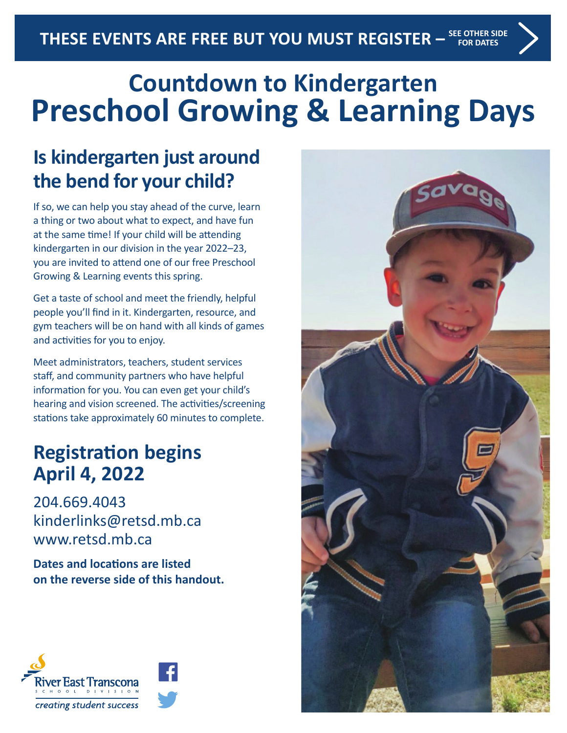# **Countdown to Kindergarten Preschool Growing & Learning Days**

### **Is kindergarten just around the bend for your child?**

If so, we can help you stay ahead of the curve, learn a thing or two about what to expect, and have fun at the same time! If your child will be attending kindergarten in our division in the year 2022–23, you are invited to attend one of our free Preschool Growing & Learning events this spring.

Get a taste of school and meet the friendly, helpful people you'll find in it. Kindergarten, resource, and gym teachers will be on hand with all kinds of games and activities for you to enjoy.

Meet administrators, teachers, student services staff, and community partners who have helpful information for you. You can even get your child's hearing and vision screened. The activities/screening stations take approximately 60 minutes to complete.

#### **Registration begins April 4, 2022**

204.669.4043 kinderlinks@retsd.mb.ca www.retsd.mb.ca

**Dates and locations are listed on the reverse side of this handout.**